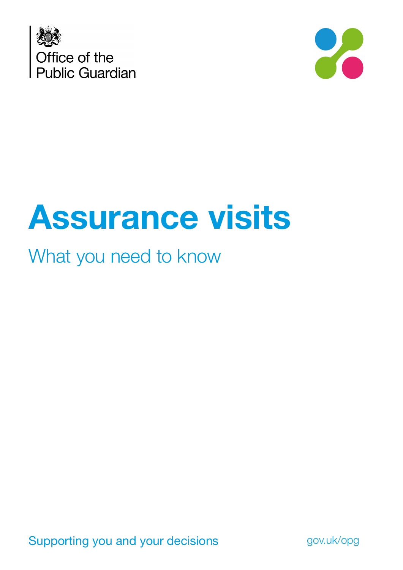



# **Assurance visits**

### What you need to know

Supporting you and your decisions **gov.uk/opg**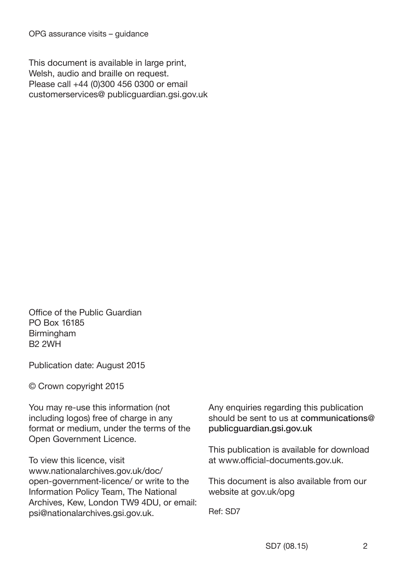This document is available in large print, Welsh, audio and braille on request. Please call +44 (0)300 456 0300 or email customerservices@ publicguardian.gsi.gov.uk

Office of the Public Guardian PO Box 16185 Birmingham B2 2WH

Publication date: August 2015

© Crown copyright 2015

You may re-use this information (not including logos) free of charge in any format or medium, under the terms of the Open Government Licence.

To view this licence, visit www.nationalarchives.gov.uk/doc/ open-government-licence/ or write to the Information Policy Team, The National Archives, Kew, London TW9 4DU, or email: psi@nationalarchives.gsi.gov.uk.

Any enquiries regarding this publication should be sent to us at communications@ publicguardian.gsi.gov.uk

This publication is available for download at www.official-documents.gov.uk.

This document is also available from our website at gov.uk/opg

Ref: SD7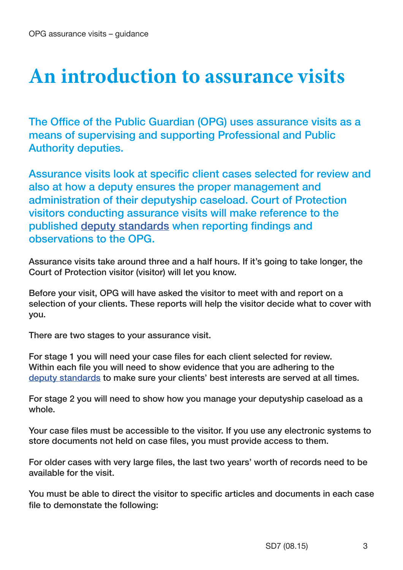### **An introduction to assurance visits**

The Office of the Public Guardian (OPG) uses assurance visits as a means of supervising and supporting Professional and Public Authority deputies.

Assurance visits look at specific client cases selected for review and also at how a deputy ensures the proper management and administration of their deputyship caseload. Court of Protection visitors conducting assurance visits will make reference to the published [deputy standards](https://www.gov.uk/government/publications/office-of-the-public-guardian-deputy-standards) when reporting findings and observations to the OPG.

Assurance visits take around three and a half hours. If it's going to take longer, the Court of Protection visitor (visitor) will let you know.

Before your visit, OPG will have asked the visitor to meet with and report on a selection of your clients. These reports will help the visitor decide what to cover with you.

There are two stages to your assurance visit.

For stage 1 you will need your case files for each client selected for review. Within each file you will need to show evidence that you are adhering to the [deputy standards](https://www.gov.uk/government/publications/office-of-the-public-guardian-deputy-standards) to make sure your clients' best interests are served at all times.

For stage 2 you will need to show how you manage your deputyship caseload as a whole.

Your case files must be accessible to the visitor. If you use any electronic systems to store documents not held on case files, you must provide access to them.

For older cases with very large files, the last two years' worth of records need to be available for the visit.

You must be able to direct the visitor to specific articles and documents in each case file to demonstate the following: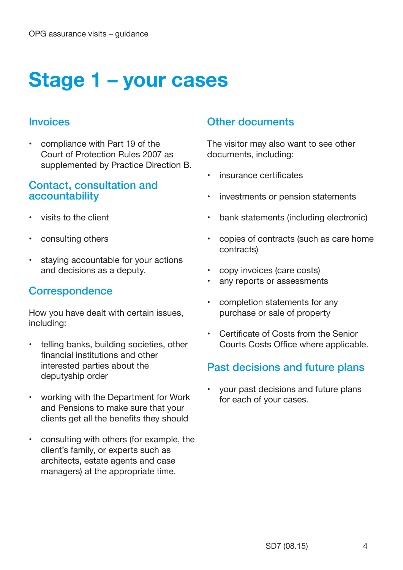## **Stage 1 – your cases**

#### **Invoices**

• compliance with Part 19 of the Court of Protection Rules 2007 as supplemented by Practice Direction B.

#### Contact, consultation and accountability

- visits to the client
- consulting others
- staying accountable for your actions and decisions as a deputy.

#### **Correspondence**

How you have dealt with certain issues, including:

- telling banks, building societies, other financial institutions and other interested parties about the deputyship order
- working with the Department for Work and Pensions to make sure that your clients get all the benefits they should
- consulting with others (for example, the client's family, or experts such as architects, estate agents and case managers) at the appropriate time.

#### Other documents

The visitor may also want to see other documents, including:

- insurance certificates
- investments or pension statements
- bank statements (including electronic)
- copies of contracts (such as care home contracts)
- copy invoices (care costs)
- any reports or assessments
- completion statements for any purchase or sale of property
- Certificate of Costs from the Senior Courts Costs Office where applicable.

#### Past decisions and future plans

• your past decisions and future plans for each of your cases.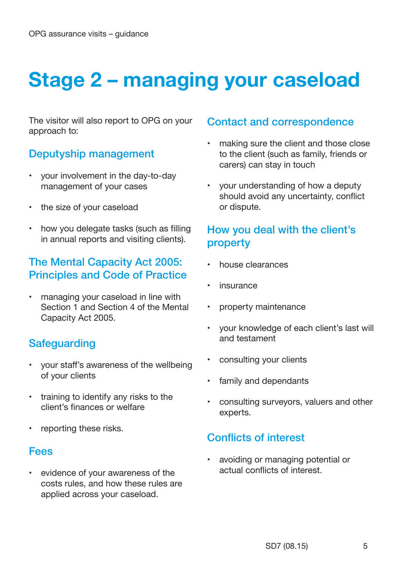# **Stage 2 – managing your caseload**

The visitor will also report to OPG on your approach to:

#### Deputyship management

- your involvement in the day-to-day management of your cases
- the size of your caseload
- how you delegate tasks (such as filling in annual reports and visiting clients).

#### The Mental Capacity Act 2005: Principles and Code of Practice

• managing your caseload in line with Section 1 and Section 4 of the Mental Capacity Act 2005.

#### **Safeguarding**

- your staff's awareness of the wellbeing of your clients
- training to identify any risks to the client's finances or welfare
- reporting these risks.

#### Fees

evidence of your awareness of the costs rules, and how these rules are applied across your caseload.

#### Contact and correspondence

- making sure the client and those close to the client (such as family, friends or carers) can stay in touch
- your understanding of how a deputy should avoid any uncertainty, conflict or dispute.

#### How you deal with the client's property

- house clearances
- **insurance**
- property maintenance
- your knowledge of each client's last will and testament
- consulting your clients
- family and dependants
- consulting surveyors, valuers and other experts.

#### Conflicts of interest

• avoiding or managing potential or actual conflicts of interest.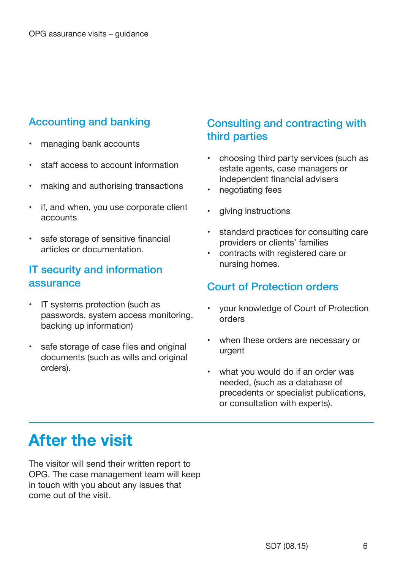#### Accounting and banking

- managing bank accounts
- staff access to account information
- making and authorising transactions
- if, and when, you use corporate client accounts
- safe storage of sensitive financial articles or documentation.

#### IT security and information assurance

- IT systems protection (such as passwords, system access monitoring, backing up information)
- safe storage of case files and original documents (such as wills and original orders).

#### Consulting and contracting with third parties

- choosing third party services (such as estate agents, case managers or independent financial advisers
- negotiating fees
- giving instructions
- standard practices for consulting care providers or clients' families
- contracts with registered care or nursing homes.

#### Court of Protection orders

- your knowledge of Court of Protection orders
- when these orders are necessary or urgent
- what you would do if an order was needed, (such as a database of precedents or specialist publications, or consultation with experts).

### **After the visit**

The visitor will send their written report to OPG. The case management team will keep in touch with you about any issues that come out of the visit.